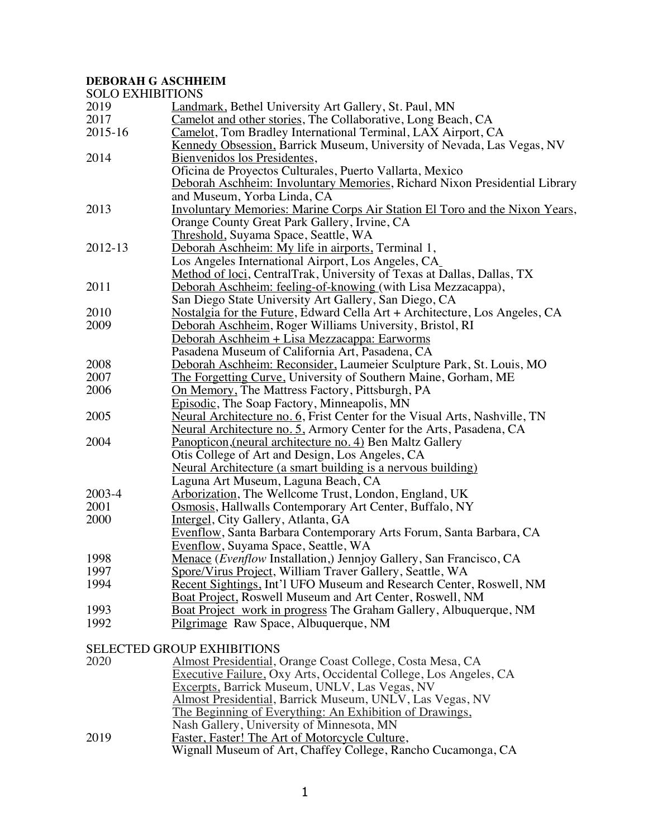# **DEBORAH G ASCHHEIM**

| <b>SOLO EXHIBITIONS</b> |                                                                                    |  |
|-------------------------|------------------------------------------------------------------------------------|--|
| 2019                    | Landmark, Bethel University Art Gallery, St. Paul, MN                              |  |
| 2017                    | Camelot and other stories, The Collaborative, Long Beach, CA                       |  |
| 2015-16                 | Camelot, Tom Bradley International Terminal, LAX Airport, CA                       |  |
|                         | Kennedy Obsession, Barrick Museum, University of Nevada, Las Vegas, NV             |  |
| 2014                    | Bienvenidos los Presidentes,                                                       |  |
|                         | Oficina de Proyectos Culturales, Puerto Vallarta, Mexico                           |  |
|                         | Deborah Aschheim: Involuntary Memories, Richard Nixon Presidential Library         |  |
|                         | and Museum, Yorba Linda, CA                                                        |  |
| 2013                    | <b>Involuntary Memories: Marine Corps Air Station El Toro and the Nixon Years,</b> |  |
|                         | Orange County Great Park Gallery, Irvine, CA                                       |  |
|                         | Threshold, Suyama Space, Seattle, WA                                               |  |
| 2012-13                 | Deborah Aschheim: My life in airports, Terminal 1,                                 |  |
|                         | Los Angeles International Airport, Los Angeles, CA_                                |  |
|                         | Method of loci, CentralTrak, University of Texas at Dallas, Dallas, TX             |  |
| 2011                    | Deborah Aschheim: feeling-of-knowing (with Lisa Mezzacappa),                       |  |
|                         | San Diego State University Art Gallery, San Diego, CA                              |  |
| 2010                    | Nostalgia for the Future, Edward Cella Art + Architecture, Los Angeles, CA         |  |
| 2009                    | Deborah Aschheim, Roger Williams University, Bristol, RI                           |  |
|                         | Deborah Aschheim + Lisa Mezzacappa: Earworms                                       |  |
|                         | Pasadena Museum of California Art, Pasadena, CA                                    |  |
| 2008                    | Deborah Aschheim: Reconsider, Laumeier Sculpture Park, St. Louis, MO               |  |
| 2007                    | The Forgetting Curve, University of Southern Maine, Gorham, ME                     |  |
| 2006                    | On Memory, The Mattress Factory, Pittsburgh, PA                                    |  |
|                         | Episodic, The Soap Factory, Minneapolis, MN                                        |  |
| 2005                    | Neural Architecture no. 6, Frist Center for the Visual Arts, Nashville, TN         |  |
|                         | Neural Architecture no. 5. Armory Center for the Arts, Pasadena, CA                |  |
| 2004                    | Panopticon, (neural architecture no. 4) Ben Maltz Gallery                          |  |
|                         | Otis College of Art and Design, Los Angeles, CA                                    |  |
|                         | Neural Architecture (a smart building is a nervous building)                       |  |
|                         | Laguna Art Museum, Laguna Beach, CA                                                |  |
| 2003-4                  | Arborization, The Wellcome Trust, London, England, UK                              |  |
| 2001                    | Osmosis, Hallwalls Contemporary Art Center, Buffalo, NY                            |  |
| 2000                    | Intergel, City Gallery, Atlanta, GA                                                |  |
|                         | Evenflow, Santa Barbara Contemporary Arts Forum, Santa Barbara, CA                 |  |
|                         | Evenflow, Suyama Space, Seattle, WA                                                |  |
| 1998                    | Menace (Evenflow Installation,) Jennjoy Gallery, San Francisco, CA                 |  |
| 1997                    | Spore/Virus Project, William Traver Gallery, Seattle, WA                           |  |
| 1994                    | Recent Sightings, Int'l UFO Museum and Research Center, Roswell, NM                |  |
|                         | Boat Project, Roswell Museum and Art Center, Roswell, NM                           |  |
| 1993                    | <b>Boat Project</b> work in progress The Graham Gallery, Albuquerque, NM           |  |
| 1992                    | Pilgrimage Raw Space, Albuquerque, NM                                              |  |
|                         |                                                                                    |  |

SELECTED GROUP EXHIBITIONS

| Executive Failure, Oxy Arts, Occidental College, Los Angeles, CA |
|------------------------------------------------------------------|
|                                                                  |
|                                                                  |
|                                                                  |
|                                                                  |
|                                                                  |
| Wignall Museum of Art, Chaffey College, Rancho Cucamonga, CA     |
|                                                                  |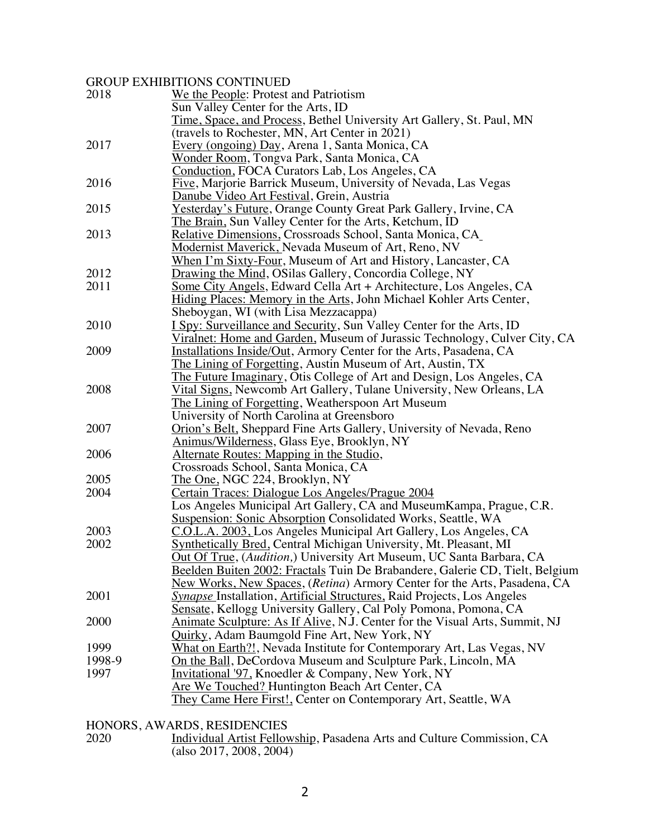### GROUP EXHIBITIONS CONTINUED

| 2018   | We the People: Protest and Patriotism                                                                                          |
|--------|--------------------------------------------------------------------------------------------------------------------------------|
|        | Sun Valley Center for the Arts, ID                                                                                             |
|        | <u>Time, Space, and Process</u> , Bethel University Art Gallery, St. Paul, MN<br>travels to Rochester, MN, Art Center in 2021) |
| 2017   | Every (ongoing) Day, Arena 1, Santa Monica, CA                                                                                 |
|        | <u>Wonder Room,</u> Tongva Park, Santa Monica, CA                                                                              |
|        | Conduction, FOCA Curators Lab, Los Angeles, CA                                                                                 |
| 2016   | Five, Marjorie Barrick Museum, University of Nevada, Las Vegas                                                                 |
|        | Danube Video Art Festival, Grein, Austria                                                                                      |
| 2015   | Yesterday's Future, Orange County Great Park Gallery, Irvine, CA                                                               |
|        | The Brain, Sun Valley Center for the Arts, Ketchum, ID                                                                         |
| 2013   | <b>Relative Dimensions, Crossroads School, Santa Monica, CA_</b>                                                               |
|        | <b>Modernist Maverick, Nevada Museum of Art, Reno, NV</b>                                                                      |
|        | When I'm Sixty-Four, Museum of Art and History, Lancaster, CA                                                                  |
| 2012   | Drawing the Mind, OSilas Gallery, Concordia College, NY                                                                        |
| 2011   | <u>Some City Angels</u> , Edward Cella Art + Architecture, Los Angeles, CA                                                     |
|        | Hiding Places: Memory in the Arts, John Michael Kohler Arts Center,                                                            |
|        | Sheboygan, WI (with Lisa Mezzacappa)                                                                                           |
| 2010   | I Spy: Surveillance and Security, Sun Valley Center for the Arts, ID                                                           |
|        | Viralnet: Home and Garden, Museum of Jurassic Technology, Culver City, CA                                                      |
| 2009   | Installations Inside/Out, Armory Center for the Arts, Pasadena, CA                                                             |
|        | <u>The Lining of Forgetting</u> , Austin Museum of Art, Austin, TX                                                             |
|        | The Future Imaginary, Otis College of Art and Design, Los Angeles, CA                                                          |
| 2008   | Vital Signs, Newcomb Art Gallery, Tulane University, New Orleans, LA                                                           |
|        | The Lining of Forgetting, Weatherspoon Art Museum                                                                              |
|        | University of North Carolina at Greensboro                                                                                     |
| 2007   | Orion's Belt, Sheppard Fine Arts Gallery, University of Nevada, Reno                                                           |
|        | Animus/Wilderness, Glass Eye, Brooklyn, NY                                                                                     |
| 2006   | <u>Alternate Routes: Mapping in the Studio,</u>                                                                                |
|        | Crossroads School, Santa Monica, CA                                                                                            |
| 2005   | The One, NGC 224, Brooklyn, NY                                                                                                 |
| 2004   | <u> Certain Traces: Dialogue Los Angeles/Prague 2004</u>                                                                       |
|        | Los Angeles Municipal Art Gallery, CA and Museum Kampa, Prague, C.R.                                                           |
|        | <b>Suspension: Sonic Absorption Consolidated Works, Seattle, WA</b>                                                            |
| 2003   | C.O.L.A. 2003, Los Angeles Municipal Art Gallery, Los Angeles, CA                                                              |
| 2002   | <b>Synthetically Bred, Central Michigan University, Mt. Pleasant, MI</b>                                                       |
|        | <b>Out Of True</b> , ( <i>Audition</i> ,) University Art Museum, UC Santa Barbara, CA                                          |
|        | Beelden Buiten 2002: Fractals Tuin De Brabandere, Galerie CD, Tielt, Belgium                                                   |
|        | New Works, New Spaces, (Retina) Armory Center for the Arts, Pasadena, CA                                                       |
| 2001   | <b>Synapse Installation</b> , <b>Artificial Structures</b> , Raid Projects, Los Angeles                                        |
|        | Sensate, Kellogg University Gallery, Cal Poly Pomona, Pomona, CA                                                               |
| 2000   | Animate Sculpture: As If Alive, N.J. Center for the Visual Arts, Summit, NJ                                                    |
|        | Quirky, Adam Baumgold Fine Art, New York, NY                                                                                   |
| 1999   | What on Earth?!, Nevada Institute for Contemporary Art, Las Vegas, NV                                                          |
| 1998-9 | On the Ball, DeCordova Museum and Sculpture Park, Lincoln, MA                                                                  |
| 1997   | Invitational '97, Knoedler & Company, New York, NY                                                                             |
|        | Are We Touched? Huntington Beach Art Center, CA                                                                                |
|        | They Came Here First!, Center on Contemporary Art, Seattle, WA                                                                 |
|        |                                                                                                                                |

HONORS, AWARDS, RESIDENCIES<br>2020 **Individual Artist Fellov** 

2020 **Individual Artist Fellowship**, Pasadena Arts and Culture Commission, CA (also 2017, 2008, 2004)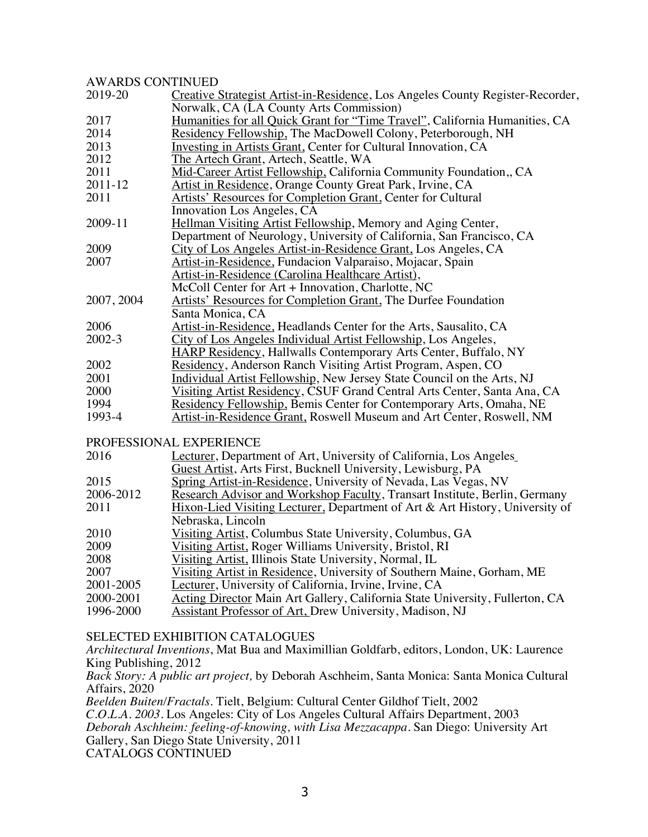### AWARDS CONTINUED

| <i>IWIWDS</i> CONTINUED |                                                                                |
|-------------------------|--------------------------------------------------------------------------------|
| 2019-20                 | Creative Strategist Artist-in-Residence, Los Angeles County Register-Recorder, |
|                         | Norwalk, CA (LA County Arts Commission)                                        |
| 2017                    | Humanities for all Quick Grant for "Time Travel", California Humanities, CA    |
| 2014                    | Residency Fellowship, The MacDowell Colony, Peterborough, NH                   |
| 2013                    | Investing in Artists Grant, Center for Cultural Innovation, CA                 |
| 2012                    | The Artech Grant, Artech, Seattle, WA                                          |
| 2011                    | Mid-Career Artist Fellowship, California Community Foundation,, CA             |
| 2011-12                 | Artist in Residence, Orange County Great Park, Irvine, CA                      |
| 2011                    | <b>Artists' Resources for Completion Grant, Center for Cultural</b>            |
|                         | Innovation Los Angeles, CA                                                     |
| 2009-11                 | Hellman Visiting Artist Fellowship, Memory and Aging Center,                   |
|                         | Department of Neurology, University of California, San Francisco, CA           |
| 2009                    | City of Los Angeles Artist-in-Residence Grant, Los Angeles, CA                 |
| 2007                    | Artist-in-Residence, Fundacion Valparaiso, Mojacar, Spain                      |
|                         | Artist-in-Residence (Carolina Healthcare Artist),                              |
|                         | McColl Center for Art + Innovation, Charlotte, NC                              |
| 2007, 2004              | Artists' Resources for Completion Grant, The Durfee Foundation                 |
|                         | Santa Monica, CA                                                               |
| 2006                    | Artist-in-Residence, Headlands Center for the Arts, Sausalito, CA              |
| 2002-3                  | City of Los Angeles Individual Artist Fellowship, Los Angeles,                 |
|                         | <b>HARP Residency, Hallwalls Contemporary Arts Center, Buffalo, NY</b>         |
| 2002                    | Residency, Anderson Ranch Visiting Artist Program, Aspen, CO                   |
| 2001                    | Individual Artist Fellowship, New Jersey State Council on the Arts, NJ         |
| 2000                    | Visiting Artist Residency, CSUF Grand Central Arts Center, Santa Ana, CA       |
| 1994                    | Residency Fellowship, Bemis Center for Contemporary Arts, Omaha, NE            |
| 1993-4                  | Artist-in-Residence Grant, Roswell Museum and Art Center, Roswell, NM          |
|                         |                                                                                |
|                         | PROFESSIONAL EXPERIENCE                                                        |
| 2016                    | Lecturer, Department of Art, University of California, Los Angeles             |
|                         | Guest Artist, Arts First, Bucknell University, Lewisburg, PA                   |
| 2015                    | Spring Artist-in-Residence, University of Nevada, Las Vegas, NV                |
| 2006-2012               | Research Advisor and Workshop Faculty, Transart Institute, Berlin, Germany     |
| 2011                    | Hixon-Lied Visiting Lecturer, Department of Art & Art History, University of   |
|                         | Nebraska, Lincoln                                                              |
| 2010                    | Visiting Artist, Columbus State University, Columbus, GA                       |
| 2009                    | Visiting Artist, Roger Williams University, Bristol, RI                        |
| 2008                    | Visiting Artist, Illinois State University, Normal, IL                         |
| 2007                    | Visiting Artist in Residence, University of Southern Maine, Gorham, ME         |
| 2001-2005               | Lecturer, University of California, Irvine, Irvine, CA                         |
| 2000-2001               | Acting Director Main Art Gallery, California State University, Fullerton, CA   |

#### 2000-2001 Acting Director Main Art Gallery, California State University, Fullerton, CA<br>1996-2000 Assistant Professor of Art. Drew University, Madison, NJ Assistant Professor of Art, Drew University, Madison, NJ

### SELECTED EXHIBITION CATALOGUES

*Architectural Inventions*, Mat Bua and Maximillian Goldfarb, editors, London, UK: Laurence King Publishing, 2012

*Back Story: A public art project,* by Deborah Aschheim, Santa Monica: Santa Monica Cultural Affairs, 2020

*Beelden Buiten/Fractals*. Tielt, Belgium: Cultural Center Gildhof Tielt, 2002 *C.O.L.A. 2003*. Los Angeles: City of Los Angeles Cultural Affairs Department, 2003 *Deborah Aschheim: feeling-of-knowing, with Lisa Mezzacappa*. San Diego: University Art Gallery, San Diego State University, 2011 CATALOGS CONTINUED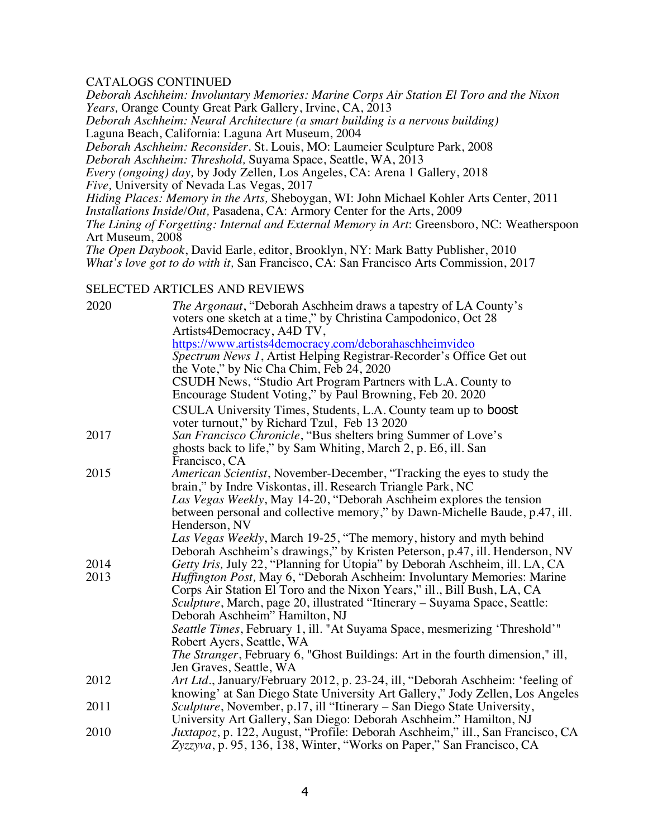### CATALOGS CONTINUED

*Deborah Aschheim: Involuntary Memories: Marine Corps Air Station El Toro and the Nixon Years,* Orange County Great Park Gallery, Irvine, CA, 2013 *Deborah Aschheim: Neural Architecture (a smart building is a nervous building)* Laguna Beach, California: Laguna Art Museum, 2004 *Deborah Aschheim: Reconsider*. St. Louis, MO: Laumeier Sculpture Park, 2008 *Deborah Aschheim: Threshold,* Suyama Space, Seattle, WA, 2013 *Every (ongoing) day,* by Jody Zellen*,* Los Angeles, CA: Arena 1 Gallery, 2018 *Five,* University of Nevada Las Vegas, 2017 *Hiding Places: Memory in the Arts,* Sheboygan, WI: John Michael Kohler Arts Center, 2011 *Installations Inside/Out,* Pasadena, CA: Armory Center for the Arts, 2009 *The Lining of Forgetting: Internal and External Memory in Art*: Greensboro, NC: Weatherspoon Art Museum, 2008 *The Open Daybook*, David Earle, editor, Brooklyn, NY: Mark Batty Publisher, 2010 *What's love got to do with it,* San Francisco, CA: San Francisco Arts Commission, 2017

### SELECTED ARTICLES AND REVIEWS

| 2020 | <i>The Argonaut</i> , "Deborah Aschheim draws a tapestry of LA County's<br>voters one sketch at a time," by Christina Campodonico, Oct 28<br>Artists4Democracy, A4D TV,   |
|------|---------------------------------------------------------------------------------------------------------------------------------------------------------------------------|
|      | https://www.artists4democracy.com/deborahaschheimvideo<br>Spectrum News 1, Artist Helping Registrar-Recorder's Office Get out<br>the Vote," by Nic Cha Chim, Feb 24, 2020 |
|      | CSUDH News, "Studio Art Program Partners with L.A. County to<br>Encourage Student Voting," by Paul Browning, Feb 20. 2020                                                 |
|      | CSULA University Times, Students, L.A. County team up to <b>boost</b><br>voter turnout," by Richard Tzul, Feb 13 2020                                                     |
| 2017 | San Francisco Chronicle, "Bus shelters bring Summer of Love's<br>ghosts back to life," by Sam Whiting, March 2, p. E6, ill. San<br>Francisco, CA                          |
| 2015 | American Scientist, November-December, "Tracking the eyes to study the                                                                                                    |
|      | brain," by Indre Viskontas, ill. Research Triangle Park, NC                                                                                                               |
|      | Las Vegas Weekly, May 14-20, "Deborah Aschheim explores the tension                                                                                                       |
|      | between personal and collective memory," by Dawn-Michelle Baude, p.47, ill.                                                                                               |
|      | Henderson, NV                                                                                                                                                             |
|      | Las Vegas Weekly, March 19-25, "The memory, history and myth behind                                                                                                       |
|      | Deborah Aschheim's drawings," by Kristen Peterson, p.47, ill. Henderson, NV                                                                                               |
| 2014 | Getty Iris, July 22, "Planning for Utopia" by Deborah Aschheim, ill. LA, CA                                                                                               |
| 2013 | <i>Huffington Post</i> , May 6, "Deborah Aschheim: Involuntary Memories: Marine<br>Corps Air Station El Toro and the Nixon Years," ill., Bill Bush, LA, CA                |
|      | Sculpture, March, page 20, illustrated "Itinerary – Suyama Space, Seattle:                                                                                                |
|      | Deborah Aschheim" Hamilton, NJ                                                                                                                                            |
|      | <i>Seattle Times</i> , February 1, ill. "At Suyama Space, mesmerizing 'Threshold'"                                                                                        |
|      | Robert Ayers, Seattle, WA                                                                                                                                                 |
|      | <i>The Stranger</i> , February 6, "Ghost Buildings: Art in the fourth dimension," ill,                                                                                    |
|      | Jen Graves, Seattle, WA                                                                                                                                                   |
| 2012 | Art Ltd., January/February 2012, p. 23-24, ill, "Deborah Aschheim: 'feeling of                                                                                            |
|      | knowing' at San Diego State University Art Gallery," Jody Zellen, Los Angeles                                                                                             |
| 2011 | Sculpture, November, p.17, ill "Itinerary - San Diego State University,                                                                                                   |
| 2010 | University Art Gallery, San Diego: Deborah Aschheim." Hamilton, NJ                                                                                                        |
|      | Juxtapoz, p. 122, August, "Profile: Deborah Aschheim," ill., San Francisco, CA<br>Zyzzyva, p. 95, 136, 138, Winter, "Works on Paper," San Francisco, CA                   |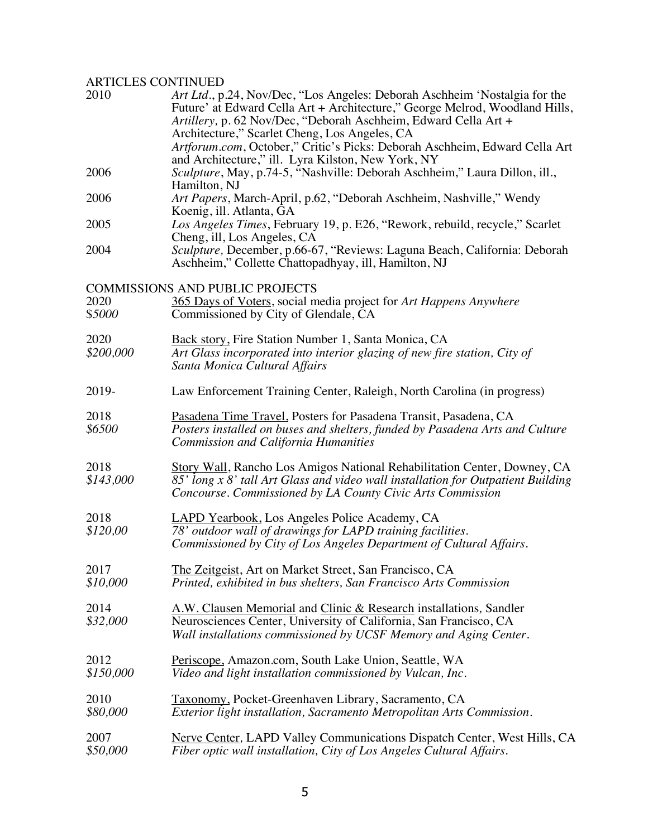## ARTICLES CONTINUED

| 2010              | Art Ltd., p.24, Nov/Dec, "Los Angeles: Deborah Aschheim 'Nostalgia for the<br>Future' at Edward Cella Art + Architecture," George Melrod, Woodland Hills,<br>Artillery, p. 62 Nov/Dec, "Deborah Aschheim, Edward Cella Art + |
|-------------------|------------------------------------------------------------------------------------------------------------------------------------------------------------------------------------------------------------------------------|
|                   | Architecture," Scarlet Cheng, Los Angeles, CA<br>Artforum.com, October," Critic's Picks: Deborah Aschheim, Edward Cella Art<br>and Architecture," ill. Lyra Kilston, New York, NY                                            |
| 2006              | Sculpture, May, p.74-5, "Nashville: Deborah Aschheim," Laura Dillon, ill.,<br>Hamilton, NJ                                                                                                                                   |
| 2006              | Art Papers, March-April, p.62, "Deborah Aschheim, Nashville," Wendy<br>Koenig, ill. Atlanta, GA                                                                                                                              |
| 2005              | Los Angeles Times, February 19, p. E26, "Rework, rebuild, recycle," Scarlet<br>Cheng, ill, Los Angeles, CA                                                                                                                   |
| 2004              | Sculpture, December, p.66-67, "Reviews: Laguna Beach, California: Deborah<br>Aschheim," Collette Chattopadhyay, ill, Hamilton, NJ                                                                                            |
| 2020<br>\$5000    | <b>COMMISSIONS AND PUBLIC PROJECTS</b><br>365 Days of Voters, social media project for Art Happens Anywhere<br>Commissioned by City of Glendale, CA                                                                          |
| 2020<br>\$200,000 | Back story, Fire Station Number 1, Santa Monica, CA<br>Art Glass incorporated into interior glazing of new fire station, City of<br>Santa Monica Cultural Affairs                                                            |
| 2019-             | Law Enforcement Training Center, Raleigh, North Carolina (in progress)                                                                                                                                                       |
| 2018<br>\$6500    | Pasadena Time Travel, Posters for Pasadena Transit, Pasadena, CA<br>Posters installed on buses and shelters, funded by Pasadena Arts and Culture<br><b>Commission and California Humanities</b>                              |
| 2018<br>\$143,000 | Story Wall, Rancho Los Amigos National Rehabilitation Center, Downey, CA<br>85' long x 8' tall Art Glass and video wall installation for Outpatient Building<br>Concourse. Commissioned by LA County Civic Arts Commission   |
| 2018<br>\$120,00  | <b>LAPD Yearbook</b> , Los Angeles Police Academy, CA<br>78' outdoor wall of drawings for LAPD training facilities.<br>Commissioned by City of Los Angeles Department of Cultural Affairs.                                   |
| 2017<br>\$10,000  | The Zeitgeist, Art on Market Street, San Francisco, CA<br>Printed, exhibited in bus shelters, San Francisco Arts Commission                                                                                                  |
| 2014<br>\$32,000  | A.W. Clausen Memorial and Clinic & Research installations, Sandler<br>Neurosciences Center, University of California, San Francisco, CA<br>Wall installations commissioned by UCSF Memory and Aging Center.                  |
| 2012<br>\$150,000 | Periscope, Amazon.com, South Lake Union, Seattle, WA<br>Video and light installation commissioned by Vulcan, Inc.                                                                                                            |
| 2010<br>\$80,000  | Taxonomy, Pocket-Greenhaven Library, Sacramento, CA<br>Exterior light installation, Sacramento Metropolitan Arts Commission.                                                                                                 |
| 2007<br>\$50,000  | <b>Nerve Center, LAPD Valley Communications Dispatch Center, West Hills, CA</b><br>Fiber optic wall installation, City of Los Angeles Cultural Affairs.                                                                      |